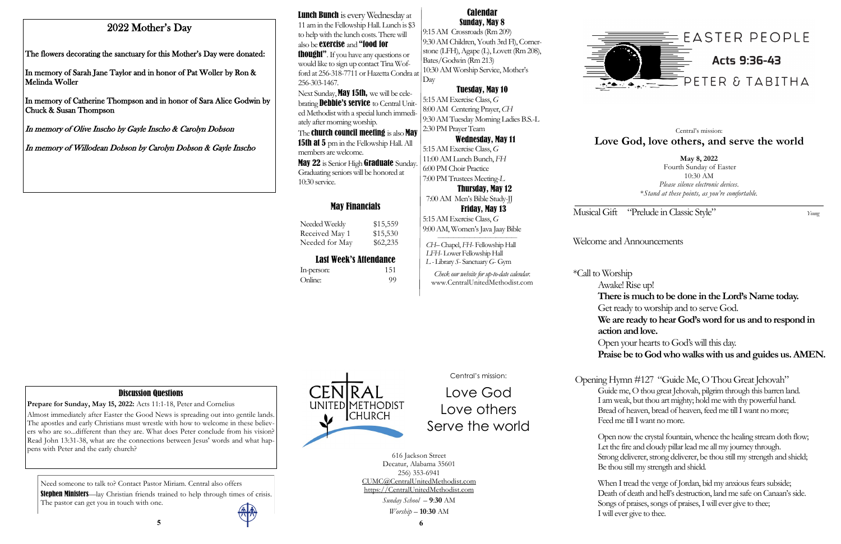Musical Gift "Prelude in Classic Style" *Young* 

## Welcome and Announcements

\*Call to Worship

Awake! Rise up! **There is much to be done in the Lord's Name today.** Get ready to worship and to serve God. **We are ready to hear God's word for us and to respond in action and love.**  Open your hearts to God's will this day. **Praise be to God who walks with us and guides us. AMEN.** 

Opening Hymn #127 "Guide Me, O Thou Great Jehovah" Guide me, O thou great Jehovah, pilgrim through this barren land. I am weak, but thou art mighty; hold me with thy powerful hand. Bread of heaven, bread of heaven, feed me till I want no more; Feed me till I want no more.

Open now the crystal fountain, whence the healing stream doth flow; Let the fire and cloudy pillar lead me all my journey through. Strong deliverer, strong deliverer, be thou still my strength and shield; Be thou still my strength and shield.

When I tread the verge of Jordan, bid my anxious fears subside; Death of death and hell's destruction, land me safe on Canaan's side. Songs of praises, songs of praises, I will ever give to thee; I will ever give to thee.



Need someone to talk to? Contact Pastor Miriam. Central also offers

Stephen Ministers—lay Christian friends trained to help through times of crisis. The pastor can get you in touch with one.



## May Financials

Needed Weekly \$15,559 Received May 1 \$15,530 Needed for May \$62,235

## Last Week's Attendance

Lunch Bunch is every Wednesday at 11 am in the Fellowship Hall. Lunch is \$3 to help with the lunch costs. There will also be exercise and "food for thought". If you have any questions or

| In-person: | 151 |
|------------|-----|
| Online:    | 99  |

**May 8, 2022** Fourth Sunday of Easter 10:30 AM *Please silence electronic devices*. \**Stand at these points, as you're comfortable.*

Next Sunday, **May 15th**, we will be celebrating **Debbie's service** to Central United Methodist with a special lunch immediately after morning worship.

The **church council meeting** is also **May** 15th at 5 pm in the Fellowship Hall. All members are welcome.

## Central's mission: **Love God, love others, and serve the world**

May 22 is Senior High Graduate Sunday. Graduating seniors will be honored at 10:30 service.

Central's mission:

Love God

Love others

Serve the world

616 Jackson Street Decatur, Alabama 35601 256) 353-6941 CUMC@CentralUnitedMethodist.com https://CentralUnitedMethodist.com

> *Sunday School* – **9**:**30** AM *Worship* – **10**:**30** AM

#### Calendar Sunday, May 8

9:15 AM Crossroads (Rm 209) 9:30 AM Children, Youth 3rd Fl), Cornerstone (LFH), Agape (L), Lovett (Rm 208), Bates/Godwin (Rm 213) 10:30 AM Worship Service, Mother's Day

## Tuesday, May 10

5:15 AM Exercise Class, *G*  8:00 AM Centering Prayer, *CH* 9:30 AM Tuesday Morning Ladies B.S.-L 2:30 PM Prayer Team

### Wednesday, May 11

5:15 AM Exercise Class, *G*  11:00 AM Lunch Bunch, *FH* 6:00 PM Choir Practice 7:00 PM Trustees Meeting-*L* Thursday, May 12

7:00 AM Men's Bible Study-JJ

 Friday, May 13 5:15 AM Exercise Class, *G*  9:00 AM, Women's Java Jaay Bible

 *——————————————— CH–* Chapel, *FH*- Fellowship Hall  *LFH*- Lower Fellowship Hall *L -* Library *S*- Sanctuary *G*- Gym

*Check our website for up-to-date calendar.* www.CentralUnitedMethodist.com

would like to sign up contact Tina Wofford at 256-318-7711 or Hazetta Condra at 256-303-1467.

# 2022 Mother's Day

The flowers decorating the sanctuary for this Mother's Day were donated:

In memory of Sarah Jane Taylor and in honor of Pat Woller by Ron & Melinda Woller

In memory of Catherine Thompson and in honor of Sara Alice Godwin by Chuck & Susan Thompson

In memory of Olive Inscho by Gayle Inscho & Carolyn Dobson

In memory of Willodean Dobson by Carolyn Dobson & Gayle Inscho

## Discussion Questions

**Prepare for Sunday, May 15, 2022:** Acts 11:1-18, Peter and Cornelius

Almost immediately after Easter the Good News is spreading out into gentile lands. The apostles and early Christians must wrestle with how to welcome in these believers who are so...different than they are. What does Peter conclude from his vision? Read John 13:31-38, what are the connections between Jesus' words and what happens with Peter and the early church?